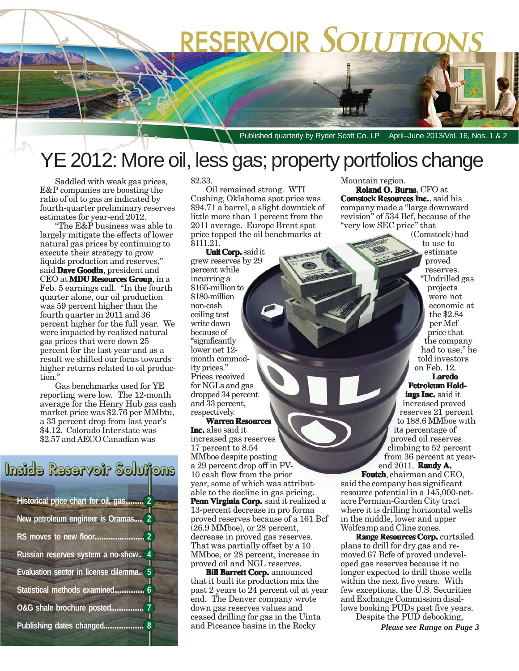# **RESERVOIR SOLUTIONS**

Published quarterly by Ryder Scott Co. LP April–June 2013/Vol. 16, Nos. 1 & 2

## YE 2012: More oil, less gas; property portfolios change

Saddled with weak gas prices, E&P companies are boosting the ratio of oil to gas as indicated by fourth-quarter preliminary reserves estimates for year-end 2012.

"The E&P business was able to largely mitigate the effects of lower natural gas prices by continuing to execute their strategy to grow liquids production and reserves," said **Dave Goodin**, president and CEO at **MDU Resources Group**, in a Feb. 5 earnings call. "In the fourth quarter alone, our oil production was 59 percent higher than the fourth quarter in 2011 and 36 percent higher for the full year. We were impacted by realized natural gas prices that were down 25 percent for the last year and as a result we shifted our focus towards higher returns related to oil production."

Gas benchmarks used for YE reporting were low. The 12-month average for the Henry Hub gas cash market price was \$2.76 per MMbtu, a 33 percent drop from last year's \$4.12. Colorado Interstate was \$2.57 and AECO Canadian was

### Inside Reservoir Solutions

| Historical price chart for oil, gas<br>$\overline{2}$ |  |  |  |  |  |
|-------------------------------------------------------|--|--|--|--|--|
| $\overline{2}$<br>New petroleum engineer is Oramas    |  |  |  |  |  |
| $\overline{2}$<br>RS moves to new floor               |  |  |  |  |  |
| $\overline{4}$<br>Russian reserves system a no-show   |  |  |  |  |  |
| 5<br>Evaluation sector in license dilemma             |  |  |  |  |  |
| Statistical methods examined<br>6                     |  |  |  |  |  |
| O&G shale brochure posted.                            |  |  |  |  |  |
| Publishing dates changed<br>8                         |  |  |  |  |  |

#### \$2.33.

Oil remained strong. WTI Cushing, Oklahoma spot price was \$94.71 a barrel, a slight downtick of little more than 1 percent from the 2011 average. Europe Brent spot price topped the oil benchmarks at \$111.21.

**Unit Corp.** said it grew reserves by 29 percent while incurring a \$165-million to \$180-million non-cash ceiling test write down because of "significantly lower net 12month commodity prices." Prices received for NGLs and gas dropped 34 percent and 33 percent, respectively.

#### **Warren Resources**

**Inc.** also said it increased gas reserves 17 percent to 8.54 MMboe despite posting a 29 percent drop off in PV-10 cash flow from the prior year, some of which was attributable to the decline in gas pricing. Penn Virginia Corp. said it realized a 13-percent decrease in pro forma proved reserves because of a 161 Bcf  $(26.9 \text{ MMboe})$ , or 28 percent, decrease in proved gas reserves. That was partially offset by a 10 MMboe, or 28 percent, increase in proved oil and NGL reserves.

**Bill Barrett Corp.** announced that it built its production mix the past 2 years to 24 percent oil at year end. The Denver company wrote down gas reserves values and ceased drilling for gas in the Uinta and Piceance basins in the Rocky

Mountain region. **Roland O. Burns**, CFO at **Comstock Resources Inc.**, said his company made a "large downward revision" of 534 Bcf, because of the "very low SEC price" that

(Comstock) had to use to estimate proved reserves. "Undrilled gas projects were not economic at the \$2.84 per Mcf price that the company had to use," he told investors on Feb. 12.

#### **Laredo Petroleum Hold-**

**ings Inc.** said it increased proved reserves 21 percent to 188.6 MMboe with its percentage of proved oil reserves climbing to 52 percent from 36 percent at yearend 2011. **Randy A. A.**

**Foutch**, chairman and CEO, said the company has significant resource potential in a 145,000-netacre Permian-Garden City tract where it is drilling horizontal wells in the middle, lower and upper Wolfcamp and Cline zones.

**Range Resources Corp. Range Resources Corp.** curtailed plans to drill for dry gas and removed 67 Bcfe of proved undeveloped gas reserves because it no longer expected to drill those wells within the next five years. With few exceptions, the U.S. Securities and Exchange Commission disallows booking PUDs past five years. Despite the PUD debooking,

*Please see Range on Page 3*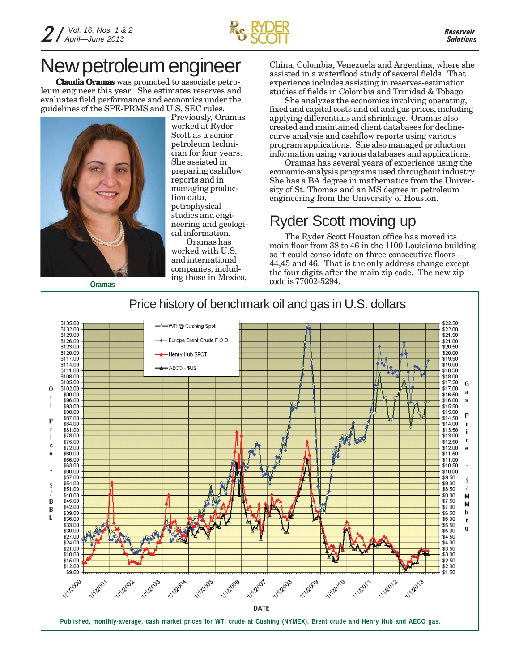

## New petroleum engineer

**Claudia Oramas** was promoted to associate petroleum engineer this year. She estimates reserves and evaluates field performance and economics under the guidelines of the SPE-PRMS and U.S. SEC rules.



Previously, Oramas worked at Ryder Scott as a senior petroleum technician for four years. She assisted in preparing cashflow reports and in managing production data, petrophysical studies and engineering and geological information.

Oramas has worked with U.S. and international companies, including those in Mexico,

**Oramas**

China, Colombia, Venezuela and Argentina, where she assisted in a waterflood study of several fields. That experience includes assisting in reserves-estimation studies of fields in Colombia and Trinidad & Tobago.

She analyzes the economics involving operating, fixed and capital costs and oil and gas prices, including applying differentials and shrinkage. Oramas also created and maintained client databases for declinecurve analysis and cashflow reports using various program applications. She also managed production information using various databases and applications.

Oramas has several years of experience using the economic-analysis programs used throughout industry. She has a BA degree in mathematics from the University of St. Thomas and an MS degree in petroleum engineering from the University of Houston.

### Ryder Scott moving up

The Ryder Scott Houston office has moved its main floor from 38 to 46 in the 1100 Louisiana building so it could consolidate on three consecutive floors— 44,45 and 46. That is the only address change except the four digits after the main zip code. The new zip code is 77002-5294.

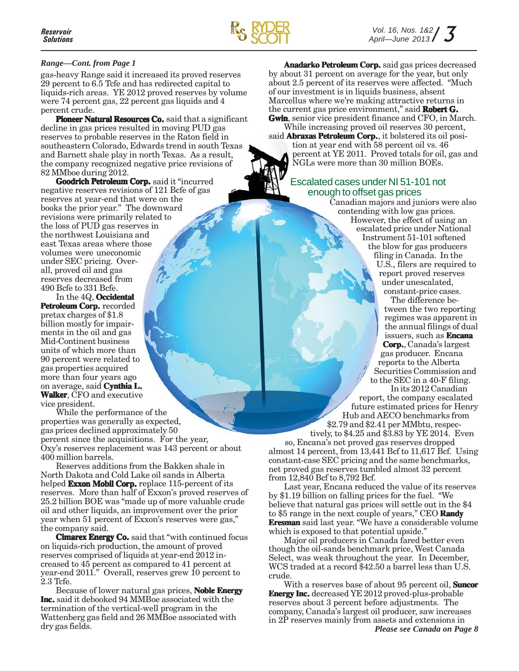

#### *Range—Cont. from Page 1*

gas-heavy Range said it increased its proved reserves 29 percent to 6.5 Tcfe and has redirected capital to liquids-rich areas. YE 2012 proved reserves by volume were 74 percent gas, 22 percent gas liquids and 4 percent crude.

**Pioneer Natural Resources Co.** said that a significant decline in gas prices resulted in moving PUD gas reserves to probable reserves in the Raton field in southeastern Colorado, Edwards trend in south Texas and Barnett shale play in north Texas. As a result, the company recognized negative price revisions of 82 MMboe during 2012.

**Goodrich Petroleum Corp.** said it "incurred negative reserves revisions of 121 Bcfe of gas reserves at year-end that were on the books the prior year." The downward revisions were primarily related to the loss of PUD gas reserves in the northwest Louisiana and east Texas areas where those volumes were uneconomic under SEC pricing. Overall, proved oil and gas reserves decreased from 490 Bcfe to 331 Bcfe.

In the 4Q, **Occidental** Petroleum Corp. recorded pretax charges of \$1.8 billion mostly for impairments in the oil and gas Mid-Continent business units of which more than 90 percent were related to gas properties acquired more than four years ago on average, said **Cynthia L. Cynthia Walker**, CFO and executive vice president.

While the performance of the properties was generally as expected, gas prices declined approximately 50 percent since the acquisitions. For the year, Oxy's reserves replacement was 143 percent or about 400 million barrels.

Reserves additions from the Bakken shale in North Dakota and Cold Lake oil sands in Alberta helped **Exxon Mobil Corp.** replace 115-percent of its reserves. More than half of Exxon's proved reserves of 25.2 billion BOE was "made up of more valuable crude oil and other liquids, an improvement over the prior year when 51 percent of Exxon's reserves were gas," the company said.

**Cimarex Energy Co.** said that "with continued focus on liquids-rich production, the amount of proved reserves comprised of liquids at year-end 2012 increased to 45 percent as compared to 41 percent at year-end 2011." Overall, reserves grew 10 percent to 2.3 Tcfe.

Because of lower natural gas prices, **Noble Energy Inc.** said it debooked 94 MMBoe associated with the termination of the vertical-well program in the Wattenberg gas field and 26 MMBoe associated with dry gas fields.

**Anadarko Petroleum Corp.** said gas prices decreased by about 31 percent on average for the year, but only about 2.5 percent of its reserves were affected. "Much of our investment is in liquids business, absent Marcellus where we're making attractive returns in the current gas price environment," said **Robert G. Robert Gwin**, senior vice president finance and CFO, in March. While increasing proved oil reserves 30 percent,

said **Abraxas Petroleum Corp.**, it bolstered its oil position at year end with 58 percent oil vs. 46 percent at YE 2011. Proved totals for oil, gas and NGLs were more than 30 million BOEs.

### Escalated cases under NI 51-101 not enough to offset gas prices

Canadian majors and juniors were also contending with low gas prices. However, the effect of using an escalated price under National Instrument 51-101 softened the blow for gas producers filing in Canada. In the U.S., filers are required to report proved reserves under unescalated, constant-price cases.

> The difference between the two reporting regimes was apparent in the annual filings of dual issuers, such as **Encana Corp.**, Canada's largest gas producer. Encana reports to the Alberta Securities Commission and to the SEC in a 40-F filing. In its 2012 Canadian

report, the company escalated future estimated prices for Henry Hub and AECO benchmarks from \$2.79 and \$2.41 per MMbtu, respec-

tively, to \$4.25 and \$3.83 by YE 2014. Even so, Encana's net proved gas reserves dropped almost 14 percent, from 13,441 Bcf to 11,617 Bcf. Using constant-case SEC pricing and the same benchmarks, net proved gas reserves tumbled almost 32 percent from 12,840 Bcf to 8,792 Bcf.

Last year, Encana reduced the value of its reserves by \$1.19 billion on falling prices for the fuel. "We believe that natural gas prices will settle out in the \$4 to \$5 range in the next couple of years," CEO **Randy Eresman** said last year. "We have a considerable volume which is exposed to that potential upside."

Major oil producers in Canada fared better even though the oil-sands benchmark price, West Canada Select, was weak throughout the year. In December, WCS traded at a record \$42.50 a barrel less than U.S. crude.

With a reserves base of about 95 percent oil, **Suncor Energy Inc.** decreased YE 2012 proved-plus-probable reserves about 3 percent before adjustments. The company, Canada's largest oil producer, saw increases in 2P reserves mainly from assets and extensions in *Please see Canada on Page 8*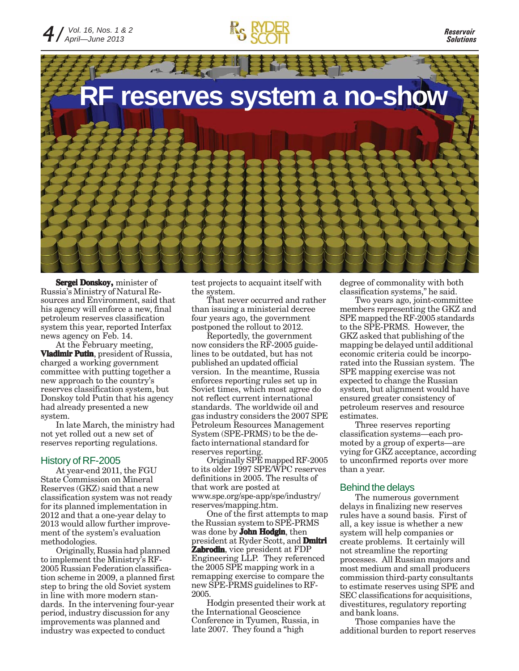

*Reservoir Solutions*



**Sergei Donskoy,** minister of Russia's Ministry of Natural Resources and Environment, said that his agency will enforce a new, final petroleum reserves classification system this year, reported Interfax news agency on Feb. 14.

At the February meeting, **Vladimir Putin**, president of Russia, charged a working government committee with putting together a new approach to the country's reserves classification system, but Donskoy told Putin that his agency had already presented a new system.

In late March, the ministry had not yet rolled out a new set of reserves reporting regulations.

#### History of RF-2005

At year-end 2011, the FGU State Commission on Mineral Reserves (GKZ) said that a new classification system was not ready for its planned implementation in 2012 and that a one-year delay to 2013 would allow further improvement of the system's evaluation methodologies.

Originally, Russia had planned to implement the Ministry's RF-2005 Russian Federation classification scheme in 2009, a planned first step to bring the old Soviet system in line with more modern standards. In the intervening four-year period, industry discussion for any improvements was planned and industry was expected to conduct

test projects to acquaint itself with the system.

That never occurred and rather than issuing a ministerial decree four years ago, the government postponed the rollout to 2012.

Reportedly, the government now considers the RF-2005 guidelines to be outdated, but has not published an updated official version. In the meantime, Russia enforces reporting rules set up in Soviet times, which most agree do not reflect current international standards. The worldwide oil and gas industry considers the 2007 SPE Petroleum Resources Management System (SPE-PRMS) to be the defacto international standard for reserves reporting.

Originally SPE mapped RF-2005 to its older 1997 SPE/WPC reserves definitions in 2005. The results of that work are posted at www.spe.org/spe-app/spe/industry/ reserves/mapping.htm.

One of the first attempts to map the Russian system to SPE-PRMS was done by **John Hodgin**, then president at Ryder Scott, and **Dmitri Zabrodin**, vice president at FDP Engineering LLP. They referenced the 2005 SPE mapping work in a remapping exercise to compare the new SPE-PRMS guidelines to RF-2005.

Hodgin presented their work at the International Geoscience Conference in Tyumen, Russia, in late 2007. They found a "high

degree of commonality with both classification systems," he said.

Two years ago, joint-committee members representing the GKZ and SPE mapped the RF-2005 standards to the SPE-PRMS. However, the GKZ asked that publishing of the mapping be delayed until additional economic criteria could be incorporated into the Russian system. The SPE mapping exercise was not expected to change the Russian system, but alignment would have ensured greater consistency of petroleum reserves and resource estimates.

Three reserves reporting classification systems—each promoted by a group of experts—are vying for GKZ acceptance, according to unconfirmed reports over more than a year.

#### Behind the delays

The numerous government delays in finalizing new reserves rules have a sound basis. First of all, a key issue is whether a new system will help companies or create problems. It certainly will not streamline the reporting processes. All Russian majors and most medium and small producers commission third-party consultants to estimate reserves using SPE and SEC classifications for acquisitions, divestitures, regulatory reporting and bank loans.

Those companies have the additional burden to report reserves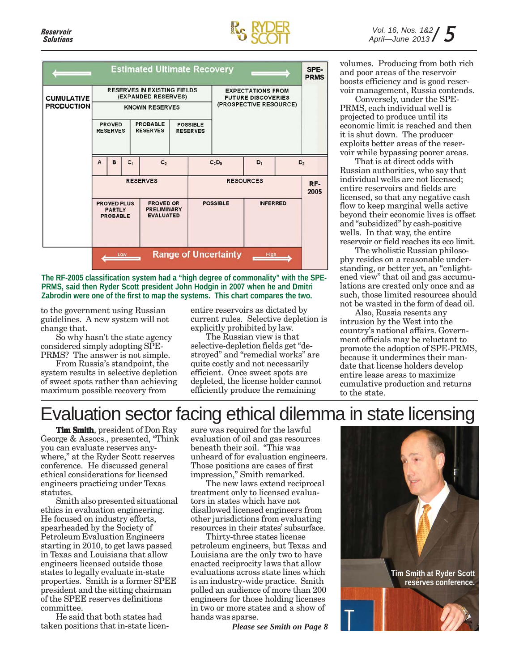

| <b>Estimated Ultimate Recovery</b> |                                                        |   |       |                                                            |                                    |                 | SPE-<br><b>PRMS</b>                                                             |                 |  |                |
|------------------------------------|--------------------------------------------------------|---|-------|------------------------------------------------------------|------------------------------------|-----------------|---------------------------------------------------------------------------------|-----------------|--|----------------|
| <b>CUMULATIVE</b>                  |                                                        |   |       | <b>RESERVES IN EXISTING FIELDS</b><br>(EXPANDED RESERVES)  |                                    |                 | <b>EXPECTATIONS FROM</b><br><b>FUTURE DISCOVERIES</b><br>(PROSPECTIVE RESOURCE) |                 |  |                |
| <b>PRODUCTION</b>                  | <b>KNOWN RESERVES</b>                                  |   |       |                                                            |                                    |                 |                                                                                 |                 |  |                |
|                                    | <b>PROVED</b><br><b>RESERVES</b>                       |   |       | <b>PROBABLE</b><br><b>RESERVES</b>                         | <b>POSSIBLE</b><br><b>RESERVES</b> |                 |                                                                                 |                 |  |                |
|                                    | $\mathbf{A}$                                           | B | $C_1$ | C <sub>2</sub>                                             |                                    |                 | $C_3D_0$                                                                        | $D_1$           |  | D <sub>2</sub> |
|                                    |                                                        |   |       | <b>RESERVES</b>                                            |                                    |                 | <b>RESOURCES</b>                                                                |                 |  | RF-<br>2005    |
|                                    | <b>PROVED PLUS</b><br><b>PARTLY</b><br><b>PROBABLE</b> |   |       | <b>PROVED OR</b><br><b>PRELIMINARY</b><br><b>EVALUATED</b> |                                    | <b>POSSIBLE</b> |                                                                                 | <b>INFERRED</b> |  |                |
|                                    |                                                        |   |       |                                                            |                                    |                 |                                                                                 |                 |  |                |
|                                    |                                                        |   | Low   |                                                            |                                    |                 | <b>Range of Uncertainty</b>                                                     | High            |  |                |

**The RF-2005 classification system had a "high degree of commonality" with the SPE-PRMS, said then Ryder Scott president John Hodgin in 2007 when he and Dmitri Zabrodin were one of the first to map the systems. This chart compares the two.**

to the government using Russian guidelines. A new system will not change that.

So why hasn't the state agency considered simply adopting SPE-PRMS? The answer is not simple.

From Russia's standpoint, the system results in selective depletion of sweet spots rather than achieving maximum possible recovery from

entire reservoirs as dictated by current rules. Selective depletion is explicitly prohibited by law.

The Russian view is that selective-depletion fields get "destroyed" and "remedial works" are quite costly and not necessarily efficient. Once sweet spots are depleted, the license holder cannot efficiently produce the remaining

volumes. Producing from both rich and poor areas of the reservoir boosts efficiency and is good reservoir management, Russia contends.

Conversely, under the SPE-PRMS, each individual well is projected to produce until its economic limit is reached and then it is shut down. The producer exploits better areas of the reservoir while bypassing poorer areas.

That is at direct odds with Russian authorities, who say that individual wells are not licensed; entire reservoirs and fields are licensed, so that any negative cash flow to keep marginal wells active beyond their economic lives is offset and "subsidized" by cash-positive wells. In that way, the entire reservoir or field reaches its eco limit.

The wholistic Russian philosophy resides on a reasonable understanding, or better yet, an "enlightened view" that oil and gas accumulations are created only once and as such, those limited resources should not be wasted in the form of dead oil.

Also, Russia resents any intrusion by the West into the country's national affairs. Government officials may be reluctant to promote the adoption of SPE-PRMS, because it undermines their mandate that license holders develop entire lease areas to maximize cumulative production and returns to the state.

### Evaluation sector facing ethical dilemma in state licensing

**Tim Smith**, president of Don Ray George & Assocs., presented, "Think you can evaluate reserves anywhere," at the Ryder Scott reserves conference. He discussed general ethical considerations for licensed engineers practicing under Texas statutes.

Smith also presented situational ethics in evaluation engineering. He focused on industry efforts, spearheaded by the Society of Petroleum Evaluation Engineers starting in 2010, to get laws passed in Texas and Louisiana that allow engineers licensed outside those states to legally evaluate in-state properties. Smith is a former SPEE president and the sitting chairman of the SPEE reserves definitions committee.

He said that both states had taken positions that in-state licensure was required for the lawful evaluation of oil and gas resources beneath their soil. "This was unheard of for evaluation engineers. Those positions are cases of first impression," Smith remarked.

The new laws extend reciprocal treatment only to licensed evaluators in states which have not disallowed licensed engineers from other jurisdictions from evaluating resources in their states' subsurface.

Thirty-three states license petroleum engineers, but Texas and Louisiana are the only two to have enacted reciprocity laws that allow evaluations across state lines which is an industry-wide practice. Smith polled an audience of more than 200 engineers for those holding licenses in two or more states and a show of hands was sparse.

*Please see Smith on Page 8*

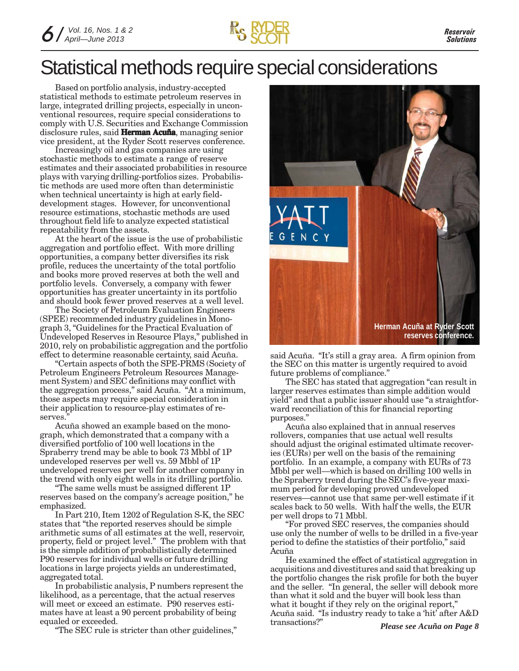

## Statistical methods require special considerations

Based on portfolio analysis, industry-accepted statistical methods to estimate petroleum reserves in large, integrated drilling projects, especially in unconventional resources, require special considerations to comply with U.S. Securities and Exchange Commission disclosure rules, said **Herman Acuña**, managing senior vice president, at the Ryder Scott reserves conference.

Increasingly oil and gas companies are using stochastic methods to estimate a range of reserve estimates and their associated probabilities in resource plays with varying drilling-portfolios sizes. Probabilistic methods are used more often than deterministic when technical uncertainty is high at early fielddevelopment stages. However, for unconventional resource estimations, stochastic methods are used throughout field life to analyze expected statistical repeatability from the assets.

At the heart of the issue is the use of probabilistic aggregation and portfolio effect. With more drilling opportunities, a company better diversifies its risk profile, reduces the uncertainty of the total portfolio and books more proved reserves at both the well and portfolio levels. Conversely, a company with fewer opportunities has greater uncertainty in its portfolio and should book fewer proved reserves at a well level.

The Society of Petroleum Evaluation Engineers (SPEE) recommended industry guidelines in Monograph 3, "Guidelines for the Practical Evaluation of Undeveloped Reserves in Resource Plays," published in 2010, rely on probabilistic aggregation and the portfolio effect to determine reasonable certainty, said Acuña.

"Certain aspects of both the SPE-PRMS (Society of Petroleum Engineers Petroleum Resources Management System) and SEC definitions may conflict with the aggregation process," said Acuña. "At a minimum, those aspects may require special consideration in their application to resource-play estimates of reserves.

Acuña showed an example based on the monograph, which demonstrated that a company with a diversified portfolio of 100 well locations in the Spraberry trend may be able to book 73 Mbbl of 1P undeveloped reserves per well vs. 59 Mbbl of 1P undeveloped reserves per well for another company in the trend with only eight wells in its drilling portfolio.

"The same wells must be assigned different 1P reserves based on the company's acreage position," he emphasized.

In Part 210, Item 1202 of Regulation S-K, the SEC states that "the reported reserves should be simple arithmetic sums of all estimates at the well, reservoir, property, field or project level." The problem with that is the simple addition of probabilistically determined P90 reserves for individual wells or future drilling locations in large projects yields an underestimated, aggregated total.

In probabilistic analysis, P numbers represent the likelihood, as a percentage, that the actual reserves will meet or exceed an estimate. P90 reserves estimates have at least a 90 percent probability of being equaled or exceeded.

"The SEC rule is stricter than other guidelines,"



said Acuña. "It's still a gray area. A firm opinion from the SEC on this matter is urgently required to avoid future problems of compliance."

The SEC has stated that aggregation "can result in larger reserves estimates than simple addition would yield" and that a public issuer should use "a straightforward reconciliation of this for financial reporting purposes."

Acuña also explained that in annual reserves rollovers, companies that use actual well results should adjust the original estimated ultimate recoveries (EURs) per well on the basis of the remaining portfolio. In an example, a company with EURs of 73 Mbbl per well—which is based on drilling 100 wells in the Spraberry trend during the SEC's five-year maximum period for developing proved undeveloped reserves—cannot use that same per-well estimate if it scales back to 50 wells. With half the wells, the EUR per well drops to 71 Mbbl.

"For proved SEC reserves, the companies should use only the number of wells to be drilled in a five-year period to define the statistics of their portfolio," said Acuña

He examined the effect of statistical aggregation in acquisitions and divestitures and said that breaking up the portfolio changes the risk profile for both the buyer and the seller. "In general, the seller will debook more than what it sold and the buyer will book less than what it bought if they rely on the original report," Acuña said. "Is industry ready to take a 'hit' after A&D transactions?"

*Please see Acuña on Page 8*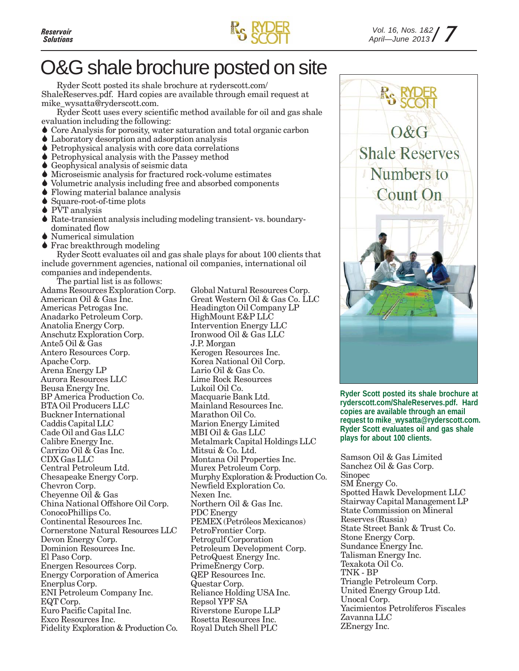

## O&G shale brochure posted on site

Ryder Scott posted its shale brochure at ryderscott.com/ ShaleReserves.pdf. Hard copies are available through email request at mike\_wysatta@ryderscott.com.

Ryder Scott uses every scientific method available for oil and gas shale evaluation including the following:

- Core Analysis for porosity, water saturation and total organic carbon
- Laboratory desorption and adsorption analysis
- Petrophysical analysis with core data correlations
- Petrophysical analysis with the Passey method
- Geophysical analysis of seismic data
- Microseismic analysis for fractured rock-volume estimates
- Volumetric analysis including free and absorbed components
- Flowing material balance analysis
- Square-root-of-time plots
- ◆ PVT analysis
- Rate-transient analysis including modeling transient- vs. boundary dominated flow
- Numerical simulation
- ◆ Frac breakthrough modeling

Ryder Scott evaluates oil and gas shale plays for about 100 clients that include government agencies, national oil companies, international oil companies and independents.

The partial list is as follows:

Adams Resources Exploration Corp. American Oil & Gas Inc. Americas Petrogas Inc. Anadarko Petroleum Corp. Anatolia Energy Corp. Anschutz Exploration Corp. Ante5 Oil & Gas Antero Resources Corp. Apache Corp. Arena Energy LP Aurora Resources LLC Beusa Energy Inc. BP America Production Co. BTA Oil Producers LLC Buckner International Caddis Capital LLC Cade Oil and Gas LLC Calibre Energy Inc. Carrizo Oil & Gas Inc. CDX Gas LLC Central Petroleum Ltd. Chesapeake Energy Corp. Chevron Corp. Cheyenne Oil & Gas China National Offshore Oil Corp. ConocoPhillips Co. Continental Resources Inc. Cornerstone Natural Resources LLC Devon Energy Corp. Dominion Resources Inc. El Paso Corp. Energen Resources Corp. Energy Corporation of America Enerplus Corp. ENI Petroleum Company Inc. EQT Corp. Euro Pacific Capital Inc. Exco Resources Inc. Fidelity Exploration & Production Co.

Global Natural Resources Corp. Great Western Oil & Gas Co. LLC Headington Oil Company LP HighMount E&P LLC Intervention Energy LLC Ironwood Oil & Gas LLC J.P. Morgan Kerogen Resources Inc. Korea National Oil Corp. Lario Oil & Gas Co. Lime Rock Resources Lukoil Oil Co. Macquarie Bank Ltd. Mainland Resources Inc. Marathon Oil Co. Marion Energy Limited MBI Oil & Gas LLC Metalmark Capital Holdings LLC Mitsui & Co. Ltd. Montana Oil Properties Inc. Murex Petroleum Corp. Murphy Exploration & Production Co. Newfield Exploration Co. Nexen Inc. Northern Oil & Gas Inc. PDC Energy PEMEX (Petróleos Mexicanos) PetroFrontier Corp. Petrogulf Corporation Petroleum Development Corp. PetroQuest Energy Inc. PrimeEnergy Corp. QEP Resources Inc. Questar Corp. Reliance Holding USA Inc. Repsol YPF SA Riverstone Europe LLP Rosetta Resources Inc. Royal Dutch Shell PLC



**Ryder Scott posted its shale brochure at ryderscott.com/ShaleReserves.pdf. Hard copies are available through an email request to mike\_wysatta@ryderscott.com. Ryder Scott evaluates oil and gas shale plays for about 100 clients.**

Samson Oil & Gas Limited Sanchez Oil & Gas Corp. Sinopec SM Energy Co. Spotted Hawk Development LLC Stairway Capital Management LP State Commission on Mineral Reserves (Russia) State Street Bank & Trust Co. Stone Energy Corp. Sundance Energy Inc. Talisman Energy Inc. Texakota Oil Co. TNK - BP Triangle Petroleum Corp. United Energy Group Ltd. Unocal Corp. Yacimientos Petrolíferos Fiscales Zavanna LLC ZEnergy Inc.